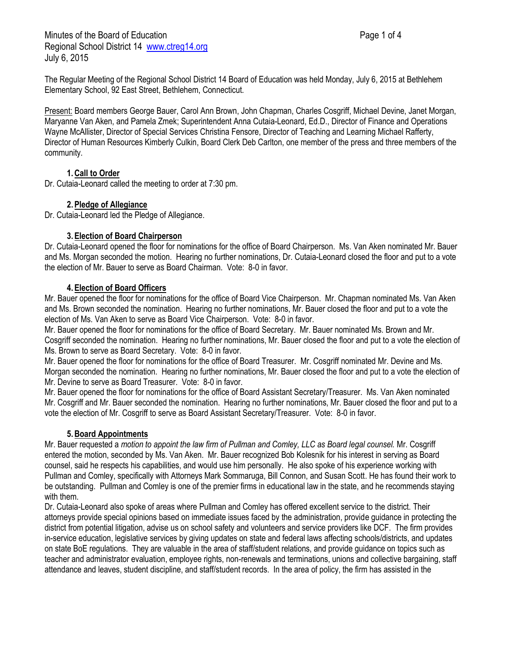Minutes of the Board of Education **Page 1 of 4** and 2 and 2 and 2 and 2 and 2 and 2 and 2 and 2 and 2 and 2 and 2 and 2 and 2 and 2 and 2 and 2 and 2 and 2 and 2 and 2 and 2 and 2 and 2 and 2 and 2 and 2 and 2 and 2 and 2 Regional School District 14 [www.ctreg14.org](http://www.ctreg14.org/) July 6, 2015

The Regular Meeting of the Regional School District 14 Board of Education was held Monday, July 6, 2015 at Bethlehem Elementary School, 92 East Street, Bethlehem, Connecticut.

Present: Board members George Bauer, Carol Ann Brown, John Chapman, Charles Cosgriff, Michael Devine, Janet Morgan, Maryanne Van Aken, and Pamela Zmek; Superintendent Anna Cutaia-Leonard, Ed.D., Director of Finance and Operations Wayne McAllister, Director of Special Services Christina Fensore, Director of Teaching and Learning Michael Rafferty, Director of Human Resources Kimberly Culkin, Board Clerk Deb Carlton, one member of the press and three members of the community.

# **1.Call to Order**

Dr. Cutaia-Leonard called the meeting to order at 7:30 pm.

### **2.Pledge of Allegiance**

Dr. Cutaia-Leonard led the Pledge of Allegiance.

### **3.Election of Board Chairperson**

Dr. Cutaia-Leonard opened the floor for nominations for the office of Board Chairperson. Ms. Van Aken nominated Mr. Bauer and Ms. Morgan seconded the motion. Hearing no further nominations, Dr. Cutaia-Leonard closed the floor and put to a vote the election of Mr. Bauer to serve as Board Chairman. Vote: 8-0 in favor.

### **4.Election of Board Officers**

Mr. Bauer opened the floor for nominations for the office of Board Vice Chairperson. Mr. Chapman nominated Ms. Van Aken and Ms. Brown seconded the nomination. Hearing no further nominations, Mr. Bauer closed the floor and put to a vote the election of Ms. Van Aken to serve as Board Vice Chairperson. Vote: 8-0 in favor.

Mr. Bauer opened the floor for nominations for the office of Board Secretary. Mr. Bauer nominated Ms. Brown and Mr. Cosgriff seconded the nomination. Hearing no further nominations, Mr. Bauer closed the floor and put to a vote the election of Ms. Brown to serve as Board Secretary. Vote: 8-0 in favor.

Mr. Bauer opened the floor for nominations for the office of Board Treasurer. Mr. Cosgriff nominated Mr. Devine and Ms. Morgan seconded the nomination. Hearing no further nominations, Mr. Bauer closed the floor and put to a vote the election of Mr. Devine to serve as Board Treasurer. Vote: 8-0 in favor.

Mr. Bauer opened the floor for nominations for the office of Board Assistant Secretary/Treasurer. Ms. Van Aken nominated Mr. Cosgriff and Mr. Bauer seconded the nomination. Hearing no further nominations, Mr. Bauer closed the floor and put to a vote the election of Mr. Cosgriff to serve as Board Assistant Secretary/Treasurer. Vote: 8-0 in favor.

### **5.Board Appointments**

Mr. Bauer requested a *motion to appoint the law firm of Pullman and Comley, LLC as Board legal counsel.* Mr. Cosgriff entered the motion, seconded by Ms. Van Aken. Mr. Bauer recognized Bob Kolesnik for his interest in serving as Board counsel, said he respects his capabilities, and would use him personally. He also spoke of his experience working with Pullman and Comley, specifically with Attorneys Mark Sommaruga, Bill Connon, and Susan Scott. He has found their work to be outstanding. Pullman and Comley is one of the premier firms in educational law in the state, and he recommends staying with them.

Dr. Cutaia-Leonard also spoke of areas where Pullman and Comley has offered excellent service to the district. Their attorneys provide special opinions based on immediate issues faced by the administration, provide guidance in protecting the district from potential litigation, advise us on school safety and volunteers and service providers like DCF. The firm provides in-service education, legislative services by giving updates on state and federal laws affecting schools/districts, and updates on state BoE regulations. They are valuable in the area of staff/student relations, and provide guidance on topics such as teacher and administrator evaluation, employee rights, non-renewals and terminations, unions and collective bargaining, staff attendance and leaves, student discipline, and staff/student records. In the area of policy, the firm has assisted in the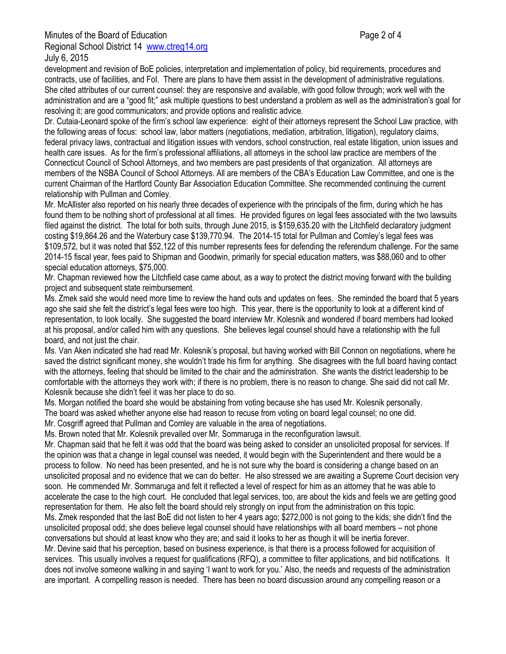development and revision of BoE policies, interpretation and implementation of policy, bid requirements, procedures and contracts, use of facilities, and FoI. There are plans to have them assist in the development of administrative regulations. She cited attributes of our current counsel: they are responsive and available, with good follow through; work well with the administration and are a "good fit;" ask multiple questions to best understand a problem as well as the administration's goal for resolving it; are good communicators; and provide options and realistic advice.

Dr. Cutaia-Leonard spoke of the firm's school law experience: eight of their attorneys represent the School Law practice, with the following areas of focus: school law, labor matters (negotiations, mediation, arbitration, litigation), regulatory claims, federal privacy laws, contractual and litigation issues with vendors, school construction, real estate litigation, union issues and health care issues. As for the firm's professional affiliations, all attorneys in the school law practice are members of the Connecticut Council of School Attorneys, and two members are past presidents of that organization. All attorneys are members of the NSBA Council of School Attorneys. All are members of the CBA's Education Law Committee, and one is the current Chairman of the Hartford County Bar Association Education Committee. She recommended continuing the current relationship with Pullman and Comley.

Mr. McAllister also reported on his nearly three decades of experience with the principals of the firm, during which he has found them to be nothing short of professional at all times. He provided figures on legal fees associated with the two lawsuits filed against the district. The total for both suits, through June 2015, is \$159,635.20 with the Litchfield declaratory judgment costing \$19,864.26 and the Waterbury case \$139,770.94. The 2014-15 total for Pullman and Comley's legal fees was \$109,572, but it was noted that \$52,122 of this number represents fees for defending the referendum challenge. For the same 2014-15 fiscal year, fees paid to Shipman and Goodwin, primarily for special education matters, was \$88,060 and to other special education attorneys, \$75,000.

Mr. Chapman reviewed how the Litchfield case came about, as a way to protect the district moving forward with the building project and subsequent state reimbursement.

Ms. Zmek said she would need more time to review the hand outs and updates on fees. She reminded the board that 5 years ago she said she felt the district's legal fees were too high. This year, there is the opportunity to look at a different kind of representation, to look locally. She suggested the board interview Mr. Kolesnik and wondered if board members had looked at his proposal, and/or called him with any questions. She believes legal counsel should have a relationship with the full board, and not just the chair.

Ms. Van Aken indicated she had read Mr. Kolesnik's proposal, but having worked with Bill Connon on negotiations, where he saved the district significant money, she wouldn't trade his firm for anything. She disagrees with the full board having contact with the attorneys, feeling that should be limited to the chair and the administration. She wants the district leadership to be comfortable with the attorneys they work with; if there is no problem, there is no reason to change. She said did not call Mr. Kolesnik because she didn't feel it was her place to do so.

Ms. Morgan notified the board she would be abstaining from voting because she has used Mr. Kolesnik personally. The board was asked whether anyone else had reason to recuse from voting on board legal counsel; no one did. Mr. Cosgriff agreed that Pullman and Comley are valuable in the area of negotiations.

Ms. Brown noted that Mr. Kolesnik prevailed over Mr. Sommaruga in the reconfiguration lawsuit.

Mr. Chapman said that he felt it was odd that the board was being asked to consider an unsolicited proposal for services. If the opinion was that a change in legal counsel was needed, it would begin with the Superintendent and there would be a process to follow. No need has been presented, and he is not sure why the board is considering a change based on an unsolicited proposal and no evidence that we can do better. He also stressed we are awaiting a Supreme Court decision very soon. He commended Mr. Sommaruga and felt it reflected a level of respect for him as an attorney that he was able to accelerate the case to the high court. He concluded that legal services, too, are about the kids and feels we are getting good representation for them. He also felt the board should rely strongly on input from the administration on this topic. Ms. Zmek responded that the last BoE did not listen to her 4 years ago; \$272,000 is not going to the kids; she didn't find the

unsolicited proposal odd; she does believe legal counsel should have relationships with all board members – not phone conversations but should at least know who they are; and said it looks to her as though it will be inertia forever.

Mr. Devine said that his perception, based on business experience, is that there is a process followed for acquisition of services. This usually involves a request for qualifications (RFQ), a committee to filter applications, and bid notifications. It does not involve someone walking in and saying 'I want to work for you.' Also, the needs and requests of the administration are important. A compelling reason is needed. There has been no board discussion around any compelling reason or a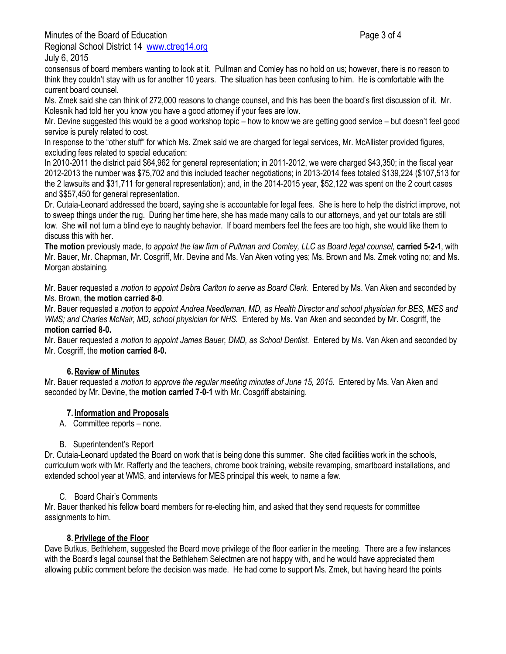Minutes of the Board of Education **Page 3 of 4** and 2 of 4

Regional School District 14 [www.ctreg14.org](http://www.ctreg14.org/) July 6, 2015

consensus of board members wanting to look at it. Pullman and Comley has no hold on us; however, there is no reason to think they couldn't stay with us for another 10 years. The situation has been confusing to him. He is comfortable with the current board counsel.

Ms. Zmek said she can think of 272,000 reasons to change counsel, and this has been the board's first discussion of it. Mr. Kolesnik had told her you know you have a good attorney if your fees are low.

Mr. Devine suggested this would be a good workshop topic – how to know we are getting good service – but doesn't feel good service is purely related to cost.

In response to the "other stuff" for which Ms. Zmek said we are charged for legal services, Mr. McAllister provided figures, excluding fees related to special education:

In 2010-2011 the district paid \$64,962 for general representation; in 2011-2012, we were charged \$43,350; in the fiscal year 2012-2013 the number was \$75,702 and this included teacher negotiations; in 2013-2014 fees totaled \$139,224 (\$107,513 for the 2 lawsuits and \$31,711 for general representation); and, in the 2014-2015 year, \$52,122 was spent on the 2 court cases and \$\$57,450 for general representation.

Dr. Cutaia-Leonard addressed the board, saying she is accountable for legal fees. She is here to help the district improve, not to sweep things under the rug. During her time here, she has made many calls to our attorneys, and yet our totals are still low. She will not turn a blind eye to naughty behavior. If board members feel the fees are too high, she would like them to discuss this with her.

**The motion** previously made, *to appoint the law firm of Pullman and Comley, LLC as Board legal counsel,* **carried 5-2-1**, with Mr. Bauer, Mr. Chapman, Mr. Cosgriff, Mr. Devine and Ms. Van Aken voting yes; Ms. Brown and Ms. Zmek voting no; and Ms. Morgan abstaining*.*

Mr. Bauer requested a *motion to appoint Debra Carlton to serve as Board Clerk.* Entered by Ms. Van Aken and seconded by Ms. Brown, **the motion carried 8-0**.

Mr. Bauer requested a *motion to appoint Andrea Needleman, MD, as Health Director and school physician for BES, MES and WMS; and Charles McNair, MD, school physician for NHS.* Entered by Ms. Van Aken and seconded by Mr. Cosgriff, the **motion carried 8-0.**

Mr. Bauer requested a *motion to appoint James Bauer, DMD, as School Dentist.* Entered by Ms. Van Aken and seconded by Mr. Cosgriff, the **motion carried 8-0.**

# **6.Review of Minutes**

Mr. Bauer requested a *motion to approve the regular meeting minutes of June 15, 2015.* Entered by Ms. Van Aken and seconded by Mr. Devine, the **motion carried 7-0-1** with Mr. Cosgriff abstaining.

# **7. Information and Proposals**

A. Committee reports – none.

### B. Superintendent's Report

Dr. Cutaia-Leonard updated the Board on work that is being done this summer. She cited facilities work in the schools, curriculum work with Mr. Rafferty and the teachers, chrome book training, website revamping, smartboard installations, and extended school year at WMS, and interviews for MES principal this week, to name a few.

### C. Board Chair's Comments

Mr. Bauer thanked his fellow board members for re-electing him, and asked that they send requests for committee assignments to him.

# **8.Privilege of the Floor**

Dave Butkus, Bethlehem, suggested the Board move privilege of the floor earlier in the meeting. There are a few instances with the Board's legal counsel that the Bethlehem Selectmen are not happy with, and he would have appreciated them allowing public comment before the decision was made. He had come to support Ms. Zmek, but having heard the points